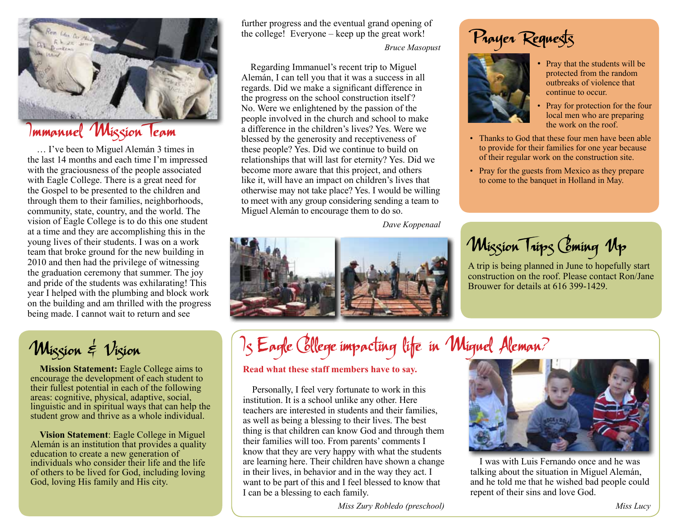

## Immanuel Mission Team

… I've been to Miguel Alemán 3 times in the last 14 months and each time I'm impressed with the graciousness of the people associated with Eagle College. There is a great need for the Gospel to be presented to the children and through them to their families, neighborhoods, community, state, country, and the world. The vision of Eagle College is to do this one student at a time and they are accomplishing this in the young lives of their students. I was on a work team that broke ground for the new building in 2010 and then had the privilege of witnessing the graduation ceremony that summer. The joy and pride of the students was exhilarating! This year I helped with the plumbing and block work on the building and am thrilled with the progress being made. I cannot wait to return and see

Wission & Vision

**Mission Statement:** Eagle College aims to encourage the development of each student to their fullest potential in each of the following areas: cognitive, physical, adaptive, social, linguistic and in spiritual ways that can help the student grow and thrive as a whole individual.

**Vision Statement**: Eagle College in Miguel Alemán is an institution that provides a quality education to create a new generation of individuals who consider their life and the life of others to be lived for God, including loving God, loving His family and His city.

further progress and the eventual grand opening of the college! Everyone – keep up the great work!

*Bruce Masopust*

Regarding Immanuel's recent trip to Miguel Alemán, I can tell you that it was a success in all regards. Did we make a significant difference in the progress on the school construction itself ? No. Were we enlightened by the passion of the people involved in the church and school to make a difference in the children's lives? Yes. Were we blessed by the generosity and receptiveness of these people? Yes. Did we continue to build on relationships that will last for eternity? Yes. Did we become more aware that this project, and others like it, will have an impact on children's lives that otherwise may not take place? Yes. I would be willing to meet with any group considering sending a team to Miguel Alemán to encourage them to do so.

 *Dave Koppenaal*



## Prayer Requests



- Pray that the students will be protected from the random outbreaks of violence that continue to occur.
- Pray for protection for the four local men who are preparing the work on the roof.
- Thanks to God that these four men have been able to provide for their families for one year because of their regular work on the construction site.
- Pray for the guests from Mexico as they prepare to come to the banquet in Holland in May.

Mission Trips Coming Up

A trip is being planned in June to hopefully start construction on the roof. Please contact Ron/Jane Brouwer for details at 616 399-1429.

## Is Eagle College impacting life in Miguel Aleman?

#### **Read what these staff members have to say.**

Personally, I feel very fortunate to work in this institution. It is a school unlike any other. Here teachers are interested in students and their families, as well as being a blessing to their lives. The best thing is that children can know God and through them their families will too. From parents' comments I know that they are very happy with what the students are learning here. Their children have shown a change in their lives, in behavior and in the way they act. I want to be part of this and I feel blessed to know that I can be a blessing to each family.



I was with Luis Fernando once and he was talking about the situation in Miguel Alemán, and he told me that he wished bad people could repent of their sins and love God.

*Miss Zury Robledo (preschool)*